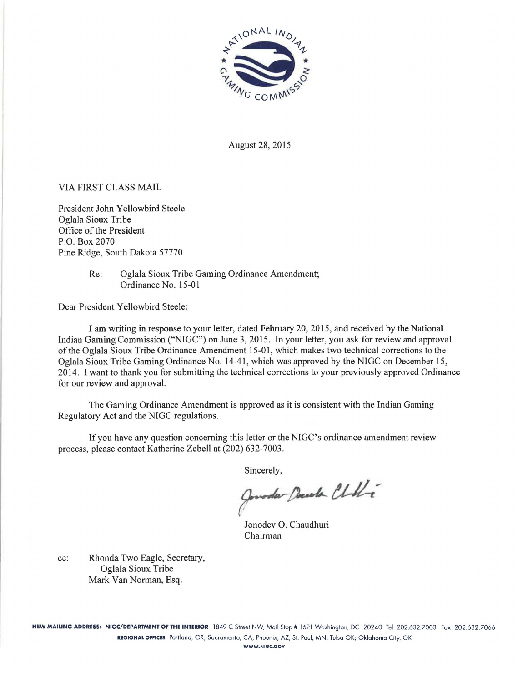

August 28, 2015

## VIA FIRST CLASS MAIL

President John Yellowbird Steele Oglala Sioux Tribe Office of the President P.O. Box 2070 Pine Ridge, South Dakota 57770

> Re: Oglala Sioux Tribe Gaming Ordinance Amendment; Ordinance No. 15-01

Dear President Yellowbird Steele:

I am writing in response to your letter, dated February 20, 2015, and received by the National Indian Gaming Commission ("NIGC") on June 3, 2015. In your letter, you ask for review and approval of the Oglala Sioux Tribe Ordinance Amendment 15-01, which makes two technical corrections to the Oglala Sioux Tribe Gaming Ordinance No. 14-41, which was approved by the NIGC on December 15, 2014. I want to thank you for submitting the technical corrections to your previously approved Ordinance for our review and approval.

The Gaming Ordinance Amendment is approved as it is consistent with the Indian Gaming Regulatory Act and the NIGC regulations.

If you have any question concerning this letter or the NIGC's ordinance amendment review process, please contact Katherine Zebell at (202) 632-7003.

Sincerely,<br>Gonoda Poesoda Chille

Jonodev 0. Chaudhuri Chairman

cc: Rhonda Two Eagle, Secretary, Oglala Sioux Tribe Mark Van Norman, Esq.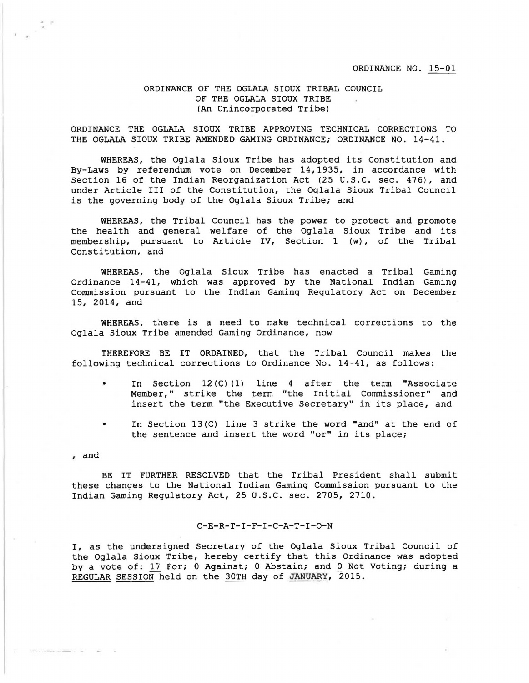## ORDINANCE OF THE OGLALA SIOUX TRIBAL COUNCIL OF THE OGLALA SIOUX TRIBE (An Unincorporated Tribe)

ORDINANCE THE OGLALA SIOUX TRIBE APPROVING TECHNICAL CORRECTIONS TO THE OGLALA SIOUX TRIBE AMENDED GAMING ORDINANCE; ORDINANCE NO. 14-41.

WHEREAS, the Oglala Sioux Tribe has adopted its Constitution and By-Laws by referendum vote on December 14, 1935, in accordance with Section 16 of the Indian Reorganization Act (25 U.S.C. sec. 476), and under Article III of the Constitution, the Oglala Sioux Tribal Council is the governing body of the Oglala Sioux Tribe; and

WHEREAS, the Tribal Council has the power to protect and promote the health and general welfare of the Oglala Sioux Tribe and its membership, pursuant to Article IV, Section 1 (w), of the Tribal Constitution, and

WHEREAS, the Oglala Sioux Tribe has enacted a Tribal Gaming Ordinance 14-41, which was approved by the National Indian Gaming Commission pursuant to the Indian Gaming Regulatory Act on December 15, 2014, and

WHEREAS, there is a need to make technical corrections to the Oglala Sioux Tribe amended Gaming Ordinance, now

THEREFORE BE IT ORDAINED, that the Tribal Council makes the following technical corrections to Ordinance No. 14-41, as follows:

- In Section  $12(C)(1)$  line 4 after the term "Associate Member," strike the term "the Initial Commissioner" and insert the term "the Executive Secretary" in its place, and
- In Section  $13(C)$  line 3 strike the word "and" at the end of the sentence and insert the word "or" in its place;

, and

BE IT FURTHER RESOLVED that the Tribal President shall submit these changes to the National Indian Gaming Commission pursuant to the Indian Gaming Regulatory Act, 25 U.S.C. sec. 2705, 2710.

## C-E-R-T-I-F-I-C-A-T-I-0-N

I, as the undersigned Secretary of the Oglala Sioux Tribal Council of the Oglala Sioux Tribe, hereby certify that this Ordinance was adopted by a vote of: 17 For; 0 Against; 0 Abstain; and 0 Not Voting; during a REGULAR SESSION held on the 30TH day of JANUARY, 2015.